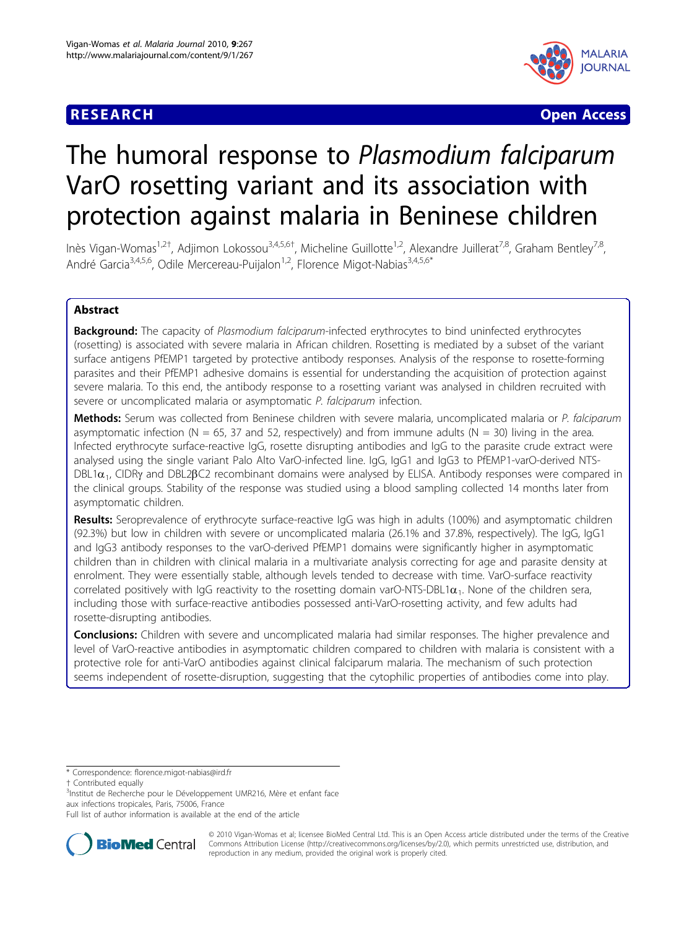## **RESEARCH CONSTRUCTION CONTROL**



# The humoral response to Plasmodium falciparum VarO rosetting variant and its association with protection against malaria in Beninese children

Inès Vigan-Womas<sup>1,2†</sup>, Adjimon Lokossou<sup>3,4,5,6†</sup>, Micheline Guillotte<sup>1,2</sup>, Alexandre Juillerat<sup>7,8</sup>, Graham Bentley<sup>7,8</sup>, André Garcia<sup>3,4,5,6</sup>, Odile Mercereau-Puijalon<sup>1,2</sup>, Florence Migot-Nabias<sup>3,4,5,6\*</sup>

## Abstract

**Background:** The capacity of Plasmodium falciparum-infected erythrocytes to bind uninfected erythrocytes (rosetting) is associated with severe malaria in African children. Rosetting is mediated by a subset of the variant surface antigens PfEMP1 targeted by protective antibody responses. Analysis of the response to rosette-forming parasites and their PfEMP1 adhesive domains is essential for understanding the acquisition of protection against severe malaria. To this end, the antibody response to a rosetting variant was analysed in children recruited with severe or uncomplicated malaria or asymptomatic P. falciparum infection.

Methods: Serum was collected from Beninese children with severe malaria, uncomplicated malaria or P. falciparum asymptomatic infection (N = 65, 37 and 52, respectively) and from immune adults (N = 30) living in the area. Infected erythrocyte surface-reactive IgG, rosette disrupting antibodies and IgG to the parasite crude extract were analysed using the single variant Palo Alto VarO-infected line. IgG, IgG1 and IgG3 to PfEMP1-varO-derived NTS-DBL1 $\alpha_1$ , CIDR<sub>Y</sub> and DBL2 $\beta$ C2 recombinant domains were analysed by ELISA. Antibody responses were compared in the clinical groups. Stability of the response was studied using a blood sampling collected 14 months later from asymptomatic children.

Results: Seroprevalence of erythrocyte surface-reactive IgG was high in adults (100%) and asymptomatic children (92.3%) but low in children with severe or uncomplicated malaria (26.1% and 37.8%, respectively). The IgG, IgG1 and IgG3 antibody responses to the varO-derived PfEMP1 domains were significantly higher in asymptomatic children than in children with clinical malaria in a multivariate analysis correcting for age and parasite density at enrolment. They were essentially stable, although levels tended to decrease with time. VarO-surface reactivity correlated positively with IgG reactivity to the rosetting domain varO-NTS-DBL1 $\alpha_1$ . None of the children sera, including those with surface-reactive antibodies possessed anti-VarO-rosetting activity, and few adults had rosette-disrupting antibodies.

**Conclusions:** Children with severe and uncomplicated malaria had similar responses. The higher prevalence and level of VarO-reactive antibodies in asymptomatic children compared to children with malaria is consistent with a protective role for anti-VarO antibodies against clinical falciparum malaria. The mechanism of such protection seems independent of rosette-disruption, suggesting that the cytophilic properties of antibodies come into play.

\* Correspondence: [florence.migot-nabias@ird.fr](mailto:florence.migot-nabias@ird.fr)

<sup>3</sup>Institut de Recherche pour le Développement UMR216, Mère et enfant face aux infections tropicales, Paris, 75006, France

Full list of author information is available at the end of the article



© 2010 Vigan-Womas et al; licensee BioMed Central Ltd. This is an Open Access article distributed under the terms of the Creative Commons Attribution License [\(http://creativecommons.org/licenses/by/2.0](http://creativecommons.org/licenses/by/2.0)), which permits unrestricted use, distribution, and reproduction in any medium, provided the original work is properly cited.

<sup>†</sup> Contributed equally <sup>3</sup>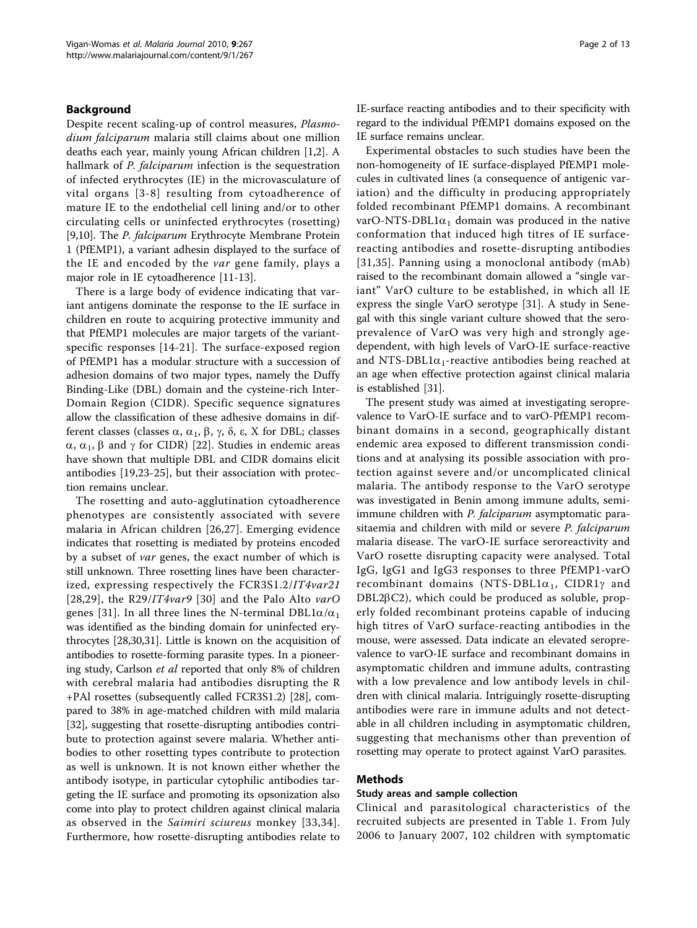#### Background

Despite recent scaling-up of control measures, Plasmodium falciparum malaria still claims about one million deaths each year, mainly young African children [[1,2\]](#page-11-0). A hallmark of *P. falciparum* infection is the sequestration of infected erythrocytes (IE) in the microvasculature of vital organs [[3](#page-11-0)-[8\]](#page-11-0) resulting from cytoadherence of mature IE to the endothelial cell lining and/or to other circulating cells or uninfected erythrocytes (rosetting) [[9,10\]](#page-11-0). The P. falciparum Erythrocyte Membrane Protein 1 (PfEMP1), a variant adhesin displayed to the surface of the IE and encoded by the var gene family, plays a major role in IE cytoadherence [\[11](#page-11-0)-[13\]](#page-11-0).

There is a large body of evidence indicating that variant antigens dominate the response to the IE surface in children en route to acquiring protective immunity and that PfEMP1 molecules are major targets of the variantspecific responses [\[14-21](#page-11-0)]. The surface-exposed region of PfEMP1 has a modular structure with a succession of adhesion domains of two major types, namely the Duffy Binding-Like (DBL) domain and the cysteine-rich Inter-Domain Region (CIDR). Specific sequence signatures allow the classification of these adhesive domains in different classes (classes α,  $\alpha_1$ ,  $\beta$ ,  $\gamma$ ,  $\delta$ , ε, X for DBL; classes  $\alpha$ ,  $\alpha$ <sub>1</sub>,  $\beta$  and  $\gamma$  for CIDR) [\[22](#page-11-0)]. Studies in endemic areas have shown that multiple DBL and CIDR domains elicit antibodies [[19,23-25](#page-11-0)], but their association with protection remains unclear.

The rosetting and auto-agglutination cytoadherence phenotypes are consistently associated with severe malaria in African children [\[26](#page-11-0),[27\]](#page-11-0). Emerging evidence indicates that rosetting is mediated by proteins encoded by a subset of var genes, the exact number of which is still unknown. Three rosetting lines have been characterized, expressing respectively the FCR3S1.2/IT4var21 [[28](#page-11-0),[29](#page-11-0)], the R29/IT4var9 [[30](#page-11-0)] and the Palo Alto varO genes [[31\]](#page-11-0). In all three lines the N-terminal DBL1 $\alpha/\alpha_1$ was identified as the binding domain for uninfected erythrocytes [[28,30,31](#page-11-0)]. Little is known on the acquisition of antibodies to rosette-forming parasite types. In a pioneering study, Carlson et al reported that only 8% of children with cerebral malaria had antibodies disrupting the R +PAl rosettes (subsequently called FCR3S1.2) [[28\]](#page-11-0), compared to 38% in age-matched children with mild malaria [[32\]](#page-11-0), suggesting that rosette-disrupting antibodies contribute to protection against severe malaria. Whether antibodies to other rosetting types contribute to protection as well is unknown. It is not known either whether the antibody isotype, in particular cytophilic antibodies targeting the IE surface and promoting its opsonization also come into play to protect children against clinical malaria as observed in the Saimiri sciureus monkey [[33,34\]](#page-11-0). Furthermore, how rosette-disrupting antibodies relate to IE-surface reacting antibodies and to their specificity with regard to the individual PfEMP1 domains exposed on the IE surface remains unclear.

Experimental obstacles to such studies have been the non-homogeneity of IE surface-displayed PfEMP1 molecules in cultivated lines (a consequence of antigenic variation) and the difficulty in producing appropriately folded recombinant PfEMP1 domains. A recombinant varO-NTS-DBL1 $\alpha_1$  domain was produced in the native conformation that induced high titres of IE surfacereacting antibodies and rosette-disrupting antibodies [[31,35](#page-11-0)]. Panning using a monoclonal antibody (mAb) raised to the recombinant domain allowed a "single variant" VarO culture to be established, in which all IE express the single VarO serotype [\[31](#page-11-0)]. A study in Senegal with this single variant culture showed that the seroprevalence of VarO was very high and strongly agedependent, with high levels of VarO-IE surface-reactive and NTS-DBL1 $\alpha_1$ -reactive antibodies being reached at an age when effective protection against clinical malaria is established [\[31\]](#page-11-0).

The present study was aimed at investigating seroprevalence to VarO-IE surface and to varO-PfEMP1 recombinant domains in a second, geographically distant endemic area exposed to different transmission conditions and at analysing its possible association with protection against severe and/or uncomplicated clinical malaria. The antibody response to the VarO serotype was investigated in Benin among immune adults, semiimmune children with P. falciparum asymptomatic parasitaemia and children with mild or severe P. falciparum malaria disease. The varO-IE surface seroreactivity and VarO rosette disrupting capacity were analysed. Total IgG, IgG1 and IgG3 responses to three PfEMP1-varO recombinant domains (NTS-DBL1 $\alpha_1$ , CIDR1 $\gamma$  and  $DBL2\beta$ C2), which could be produced as soluble, properly folded recombinant proteins capable of inducing high titres of VarO surface-reacting antibodies in the mouse, were assessed. Data indicate an elevated seroprevalence to varO-IE surface and recombinant domains in asymptomatic children and immune adults, contrasting with a low prevalence and low antibody levels in children with clinical malaria. Intriguingly rosette-disrupting antibodies were rare in immune adults and not detectable in all children including in asymptomatic children, suggesting that mechanisms other than prevention of rosetting may operate to protect against VarO parasites.

#### Methods

#### Study areas and sample collection

Clinical and parasitological characteristics of the recruited subjects are presented in Table [1](#page-2-0). From July 2006 to January 2007, 102 children with symptomatic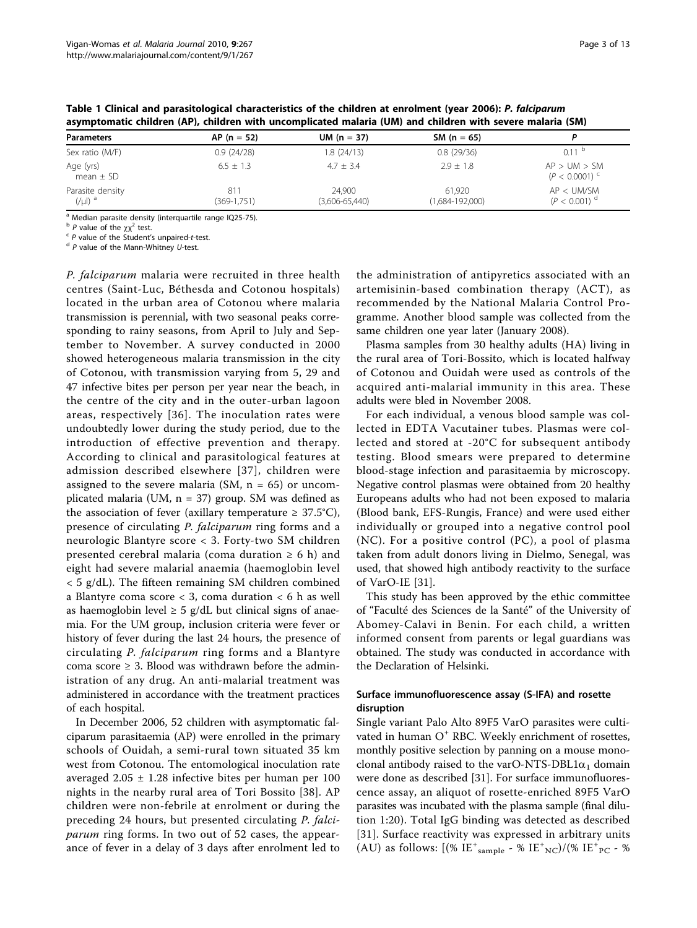| we provided the complete the figure of the complete the complete the complete the three completes the complete $\{x_1, x_2, \dots, x_n\}$ |                      |                              |                           |                                    |  |
|-------------------------------------------------------------------------------------------------------------------------------------------|----------------------|------------------------------|---------------------------|------------------------------------|--|
| <b>Parameters</b>                                                                                                                         | $AP (n = 52)$        | $UM (n = 37)$                | SM $(n = 65)$             |                                    |  |
| Sex ratio (M/F)                                                                                                                           | 0.9(24/28)           | 1.8(24/13)                   | 0.8(29/36)                | $0.11^{D}$                         |  |
| Age (yrs)<br>mean $\pm$ SD                                                                                                                | $6.5 \pm 1.3$        | $4.7 + 3.4$                  | $2.9 + 1.8$               | AP > UN > SM<br>$(P < 0.0001)^{c}$ |  |
| Parasite density<br>$(V\mu I)^a$                                                                                                          | 811<br>$(369-1,751)$ | 24.900<br>$(3,606 - 65,440)$ | 61.920<br>(1,684-192,000) | AP < UM/SM<br>$(P < 0.001)^d$      |  |

<span id="page-2-0"></span>Table 1 Clinical and parasitological characteristics of the children at enrolment (year 2006): P. falciparum asymptomatic children (AP), children with uncomplicated malaria (UM) and children with severe malaria (SM)

<sup>a</sup> Median parasite density (interquartile range IQ25-75).<br><sup>b</sup> P value of the  $\chi \chi^2$  test.

 $\sigma$  P value of the Student's unpaired-t-test.  $\sigma$  P value of the Mann-Whitney U-test.

P. falciparum malaria were recruited in three health centres (Saint-Luc, Béthesda and Cotonou hospitals) located in the urban area of Cotonou where malaria transmission is perennial, with two seasonal peaks corresponding to rainy seasons, from April to July and September to November. A survey conducted in 2000 showed heterogeneous malaria transmission in the city of Cotonou, with transmission varying from 5, 29 and 47 infective bites per person per year near the beach, in the centre of the city and in the outer-urban lagoon areas, respectively [[36](#page-11-0)]. The inoculation rates were undoubtedly lower during the study period, due to the introduction of effective prevention and therapy. According to clinical and parasitological features at admission described elsewhere [[37](#page-11-0)], children were assigned to the severe malaria (SM,  $n = 65$ ) or uncomplicated malaria (UM, n = 37) group. SM was defined as the association of fever (axillary temperature  $\geq 37.5^{\circ}C$ ), presence of circulating P. falciparum ring forms and a neurologic Blantyre score < 3. Forty-two SM children presented cerebral malaria (coma duration  $\geq 6$  h) and eight had severe malarial anaemia (haemoglobin level < 5 g/dL). The fifteen remaining SM children combined a Blantyre coma score < 3, coma duration < 6 h as well as haemoglobin level  $\geq 5$  g/dL but clinical signs of anaemia. For the UM group, inclusion criteria were fever or history of fever during the last 24 hours, the presence of circulating P. falciparum ring forms and a Blantyre coma score  $\geq$  3. Blood was withdrawn before the administration of any drug. An anti-malarial treatment was administered in accordance with the treatment practices of each hospital.

In December 2006, 52 children with asymptomatic falciparum parasitaemia (AP) were enrolled in the primary schools of Ouidah, a semi-rural town situated 35 km west from Cotonou. The entomological inoculation rate averaged  $2.05 \pm 1.28$  infective bites per human per 100 nights in the nearby rural area of Tori Bossito [\[38](#page-12-0)]. AP children were non-febrile at enrolment or during the preceding 24 hours, but presented circulating P. falciparum ring forms. In two out of 52 cases, the appearance of fever in a delay of 3 days after enrolment led to

the administration of antipyretics associated with an artemisinin-based combination therapy (ACT), as recommended by the National Malaria Control Programme. Another blood sample was collected from the same children one year later (January 2008).

Plasma samples from 30 healthy adults (HA) living in the rural area of Tori-Bossito, which is located halfway of Cotonou and Ouidah were used as controls of the acquired anti-malarial immunity in this area. These adults were bled in November 2008.

For each individual, a venous blood sample was collected in EDTA Vacutainer tubes. Plasmas were collected and stored at -20°C for subsequent antibody testing. Blood smears were prepared to determine blood-stage infection and parasitaemia by microscopy. Negative control plasmas were obtained from 20 healthy Europeans adults who had not been exposed to malaria (Blood bank, EFS-Rungis, France) and were used either individually or grouped into a negative control pool (NC). For a positive control (PC), a pool of plasma taken from adult donors living in Dielmo, Senegal, was used, that showed high antibody reactivity to the surface of VarO-IE [[31\]](#page-11-0).

This study has been approved by the ethic committee of "Faculté des Sciences de la Santé" of the University of Abomey-Calavi in Benin. For each child, a written informed consent from parents or legal guardians was obtained. The study was conducted in accordance with the Declaration of Helsinki.

## Surface immunofluorescence assay (S-IFA) and rosette disruption

Single variant Palo Alto 89F5 VarO parasites were cultivated in human  $O<sup>+</sup>$  RBC. Weekly enrichment of rosettes, monthly positive selection by panning on a mouse monoclonal antibody raised to the varO-NTS-DBL1 $\alpha_1$  domain were done as described [[31\]](#page-11-0). For surface immunofluorescence assay, an aliquot of rosette-enriched 89F5 VarO parasites was incubated with the plasma sample (final dilution 1:20). Total IgG binding was detected as described [[31](#page-11-0)]. Surface reactivity was expressed in arbitrary units (AU) as follows:  $[(\% \, IE^+_{sample} - \% \, IE^+_{NC})/( \% \, IE^+_{PC} - \%$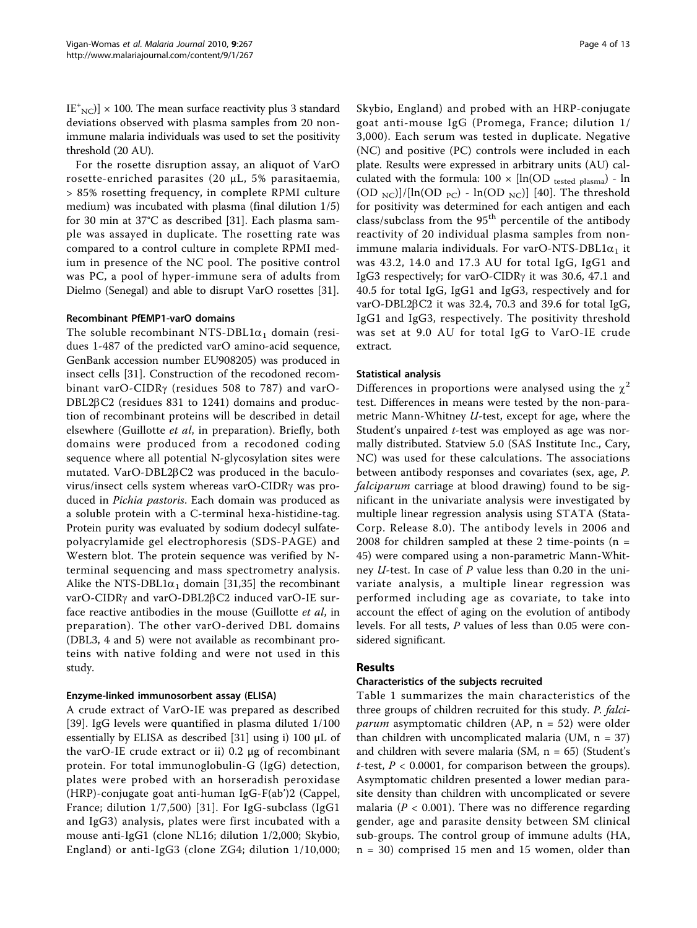$[11E^+{}_{\rm NC}$ ] × 100. The mean surface reactivity plus 3 standard deviations observed with plasma samples from 20 nonimmune malaria individuals was used to set the positivity threshold (20 AU).

For the rosette disruption assay, an aliquot of VarO rosette-enriched parasites (20 μL, 5% parasitaemia, > 85% rosetting frequency, in complete RPMI culture medium) was incubated with plasma (final dilution 1/5) for 30 min at 37°C as described [\[31](#page-11-0)]. Each plasma sample was assayed in duplicate. The rosetting rate was compared to a control culture in complete RPMI medium in presence of the NC pool. The positive control was PC, a pool of hyper-immune sera of adults from Dielmo (Senegal) and able to disrupt VarO rosettes [[31](#page-11-0)].

#### Recombinant PfEMP1-varO domains

The soluble recombinant NTS-DBL1 $\alpha_1$  domain (residues 1-487 of the predicted varO amino-acid sequence, GenBank accession number [EU908205](http://www.ncbi.nih.gov/entrez/query.fcgi?db=Nucleotide&cmd=search&term=EU908205)) was produced in insect cells [[31\]](#page-11-0). Construction of the recodoned recombinant varO-CIDR $\gamma$  (residues 508 to 787) and varO-DBL2 $\beta$ C2 (residues 831 to 1241) domains and production of recombinant proteins will be described in detail elsewhere (Guillotte et al, in preparation). Briefly, both domains were produced from a recodoned coding sequence where all potential N-glycosylation sites were mutated.  $VarO-DBL2\beta C2$  was produced in the baculovirus/insect cells system whereas varO-CIDRg was produced in Pichia pastoris. Each domain was produced as a soluble protein with a C-terminal hexa-histidine-tag. Protein purity was evaluated by sodium dodecyl sulfatepolyacrylamide gel electrophoresis (SDS-PAGE) and Western blot. The protein sequence was verified by Nterminal sequencing and mass spectrometry analysis. Alike the NTS-DBL1 $\alpha_1$  domain [\[31,35](#page-11-0)] the recombinant varO-CIDR $\gamma$  and varO-DBL2 $\beta$ C2 induced varO-IE surface reactive antibodies in the mouse (Guillotte et al, in preparation). The other varO-derived DBL domains (DBL3, 4 and 5) were not available as recombinant proteins with native folding and were not used in this study.

## Enzyme-linked immunosorbent assay (ELISA)

A crude extract of VarO-IE was prepared as described [[39\]](#page-12-0). IgG levels were quantified in plasma diluted 1/100 essentially by ELISA as described [\[31\]](#page-11-0) using i) 100 μL of the varO-IE crude extract or ii) 0.2 μg of recombinant protein. For total immunoglobulin-G (IgG) detection, plates were probed with an horseradish peroxidase (HRP)-conjugate goat anti-human IgG-F(ab')2 (Cappel, France; dilution 1/7,500) [[31\]](#page-11-0). For IgG-subclass (IgG1 and IgG3) analysis, plates were first incubated with a mouse anti-IgG1 (clone NL16; dilution 1/2,000; Skybio, England) or anti-IgG3 (clone ZG4; dilution 1/10,000; Skybio, England) and probed with an HRP-conjugate goat anti-mouse IgG (Promega, France; dilution 1/ 3,000). Each serum was tested in duplicate. Negative (NC) and positive (PC) controls were included in each plate. Results were expressed in arbitrary units (AU) calculated with the formula:  $100 \times \left[\ln(OD)_{\text{tested plasma}}\right]$  - ln  $(OD_{NC})$ ]/[ln(OD<sub>PC</sub>) - ln(OD<sub>NC</sub>)] [\[40\]](#page-12-0). The threshold for positivity was determined for each antigen and each class/subclass from the 95<sup>th</sup> percentile of the antibody reactivity of 20 individual plasma samples from nonimmune malaria individuals. For varO-NTS-DBL1 $\alpha_1$  it was 43.2, 14.0 and 17.3 AU for total IgG, IgG1 and IgG3 respectively; for varO-CIDR $\gamma$  it was 30.6, 47.1 and 40.5 for total IgG, IgG1 and IgG3, respectively and for varO-DBL2 $\beta$ C2 it was 32.4, 70.3 and 39.6 for total IgG, IgG1 and IgG3, respectively. The positivity threshold was set at 9.0 AU for total IgG to VarO-IE crude extract.

## Statistical analysis

Differences in proportions were analysed using the  $\chi^2$ test. Differences in means were tested by the non-parametric Mann-Whitney U-test, except for age, where the Student's unpaired *t*-test was employed as age was normally distributed. Statview 5.0 (SAS Institute Inc., Cary, NC) was used for these calculations. The associations between antibody responses and covariates (sex, age, P. falciparum carriage at blood drawing) found to be significant in the univariate analysis were investigated by multiple linear regression analysis using STATA (Stata-Corp. Release 8.0). The antibody levels in 2006 and 2008 for children sampled at these 2 time-points ( $n =$ 45) were compared using a non-parametric Mann-Whitney U-test. In case of P value less than 0.20 in the univariate analysis, a multiple linear regression was performed including age as covariate, to take into account the effect of aging on the evolution of antibody levels. For all tests, P values of less than 0.05 were considered significant.

## Results

## Characteristics of the subjects recruited

Table [1](#page-2-0) summarizes the main characteristics of the three groups of children recruited for this study. P. falci*parum* asymptomatic children (AP,  $n = 52$ ) were older than children with uncomplicated malaria (UM,  $n = 37$ ) and children with severe malaria (SM,  $n = 65$ ) (Student's *t*-test,  $P < 0.0001$ , for comparison between the groups). Asymptomatic children presented a lower median parasite density than children with uncomplicated or severe malaria ( $P < 0.001$ ). There was no difference regarding gender, age and parasite density between SM clinical sub-groups. The control group of immune adults (HA, n = 30) comprised 15 men and 15 women, older than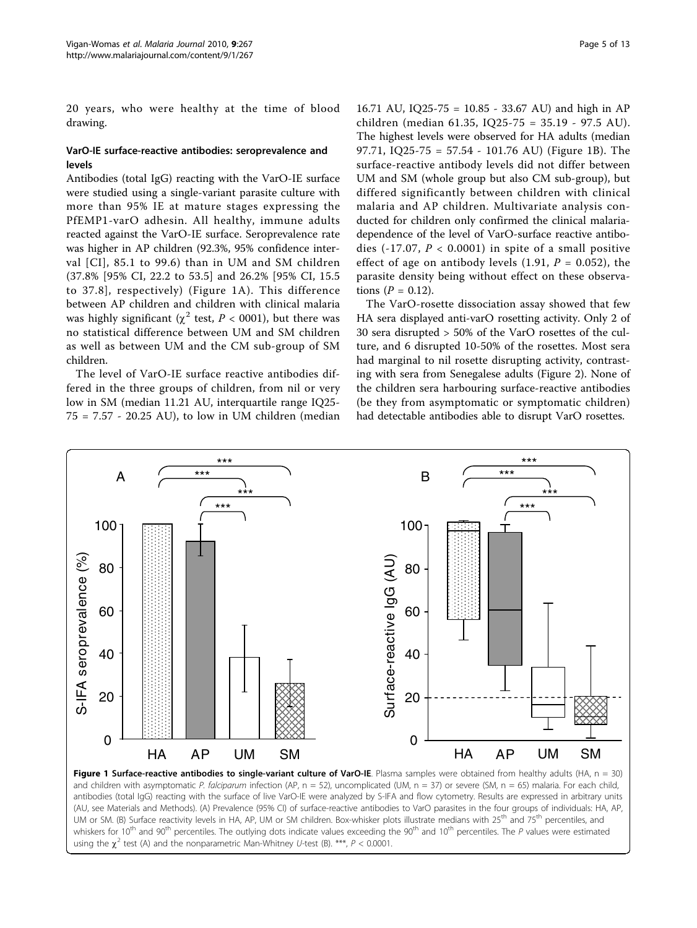20 years, who were healthy at the time of blood drawing.

#### VarO-IE surface-reactive antibodies: seroprevalence and levels

Antibodies (total IgG) reacting with the VarO-IE surface were studied using a single-variant parasite culture with more than 95% IE at mature stages expressing the PfEMP1-varO adhesin. All healthy, immune adults reacted against the VarO-IE surface. Seroprevalence rate was higher in AP children (92.3%, 95% confidence interval [CI], 85.1 to 99.6) than in UM and SM children (37.8% [95% CI, 22.2 to 53.5] and 26.2% [95% CI, 15.5 to 37.8], respectively) (Figure 1A). This difference between AP children and children with clinical malaria was highly significant ( $\chi^2$  test,  $P < 0001$ ), but there was no statistical difference between UM and SM children as well as between UM and the CM sub-group of SM children.

The level of VarO-IE surface reactive antibodies differed in the three groups of children, from nil or very low in SM (median 11.21 AU, interquartile range IQ25- 75 = 7.57 - 20.25 AU), to low in UM children (median

16.71 AU, IQ25-75 = 10.85 - 33.67 AU) and high in AP children (median 61.35, IQ25-75 = 35.19 - 97.5 AU). The highest levels were observed for HA adults (median 97.71, IQ25-75 = 57.54 - 101.76 AU) (Figure 1B). The surface-reactive antibody levels did not differ between UM and SM (whole group but also CM sub-group), but differed significantly between children with clinical malaria and AP children. Multivariate analysis conducted for children only confirmed the clinical malariadependence of the level of VarO-surface reactive antibodies (-17.07,  $P < 0.0001$ ) in spite of a small positive effect of age on antibody levels  $(1.91, P = 0.052)$ , the parasite density being without effect on these observations ( $P = 0.12$ ).

The VarO-rosette dissociation assay showed that few HA sera displayed anti-varO rosetting activity. Only 2 of 30 sera disrupted > 50% of the VarO rosettes of the culture, and 6 disrupted 10-50% of the rosettes. Most sera had marginal to nil rosette disrupting activity, contrasting with sera from Senegalese adults (Figure [2](#page-5-0)). None of the children sera harbouring surface-reactive antibodies (be they from asymptomatic or symptomatic children) had detectable antibodies able to disrupt VarO rosettes.



Figure 1 Surface-reactive antibodies to single-variant culture of VarO-IE. Plasma samples were obtained from healthy adults (HA,  $n = 30$ ) and children with asymptomatic P. falciparum infection (AP,  $n = 52$ ), uncomplicated (UM,  $n = 37$ ) or severe (SM,  $n = 65$ ) malaria. For each child, antibodies (total IgG) reacting with the surface of live VarO-IE were analyzed by S-IFA and flow cytometry. Results are expressed in arbitrary units (AU, see Materials and Methods). (A) Prevalence (95% CI) of surface-reactive antibodies to VarO parasites in the four groups of individuals: HA, AP, UM or SM. (B) Surface reactivity levels in HA, AP, UM or SM children. Box-whisker plots illustrate medians with 25<sup>th</sup> and 75<sup>th</sup> percentiles, and whiskers for  $10^{th}$  and  $90^{th}$  percentiles. The outlying dots indicate values exceeding the  $90^{th}$  and  $10^{th}$  percentiles. The P values were estimated using the  $\chi^2$  test (A) and the nonparametric Man-Whitney U-test (B). \*\*\*,  $P < 0.0001$ .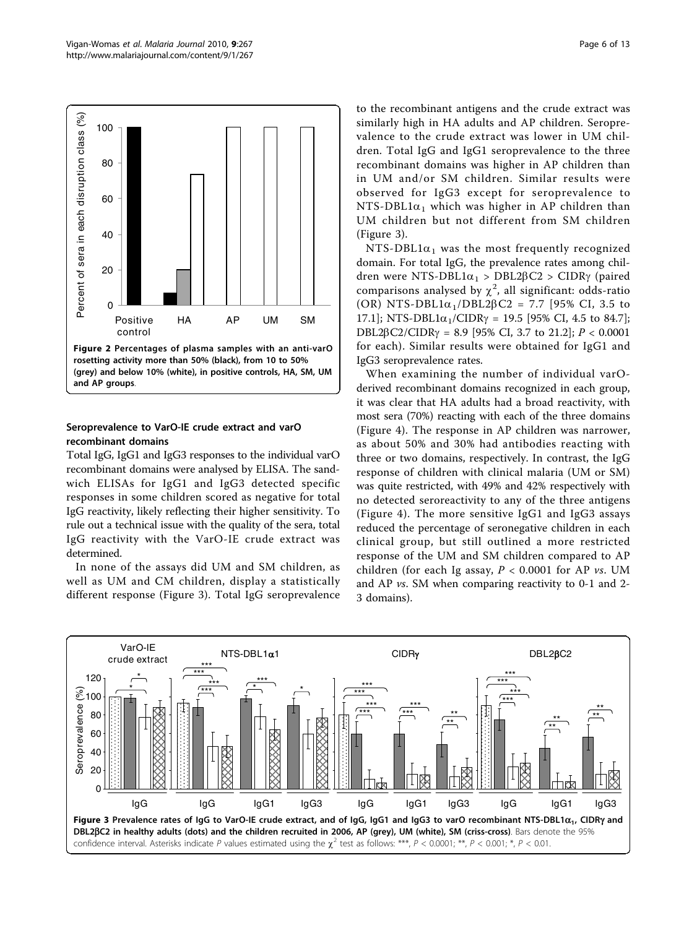<span id="page-5-0"></span>

## Seroprevalence to VarO-IE crude extract and varO recombinant domains

Total IgG, IgG1 and IgG3 responses to the individual varO recombinant domains were analysed by ELISA. The sandwich ELISAs for IgG1 and IgG3 detected specific responses in some children scored as negative for total IgG reactivity, likely reflecting their higher sensitivity. To rule out a technical issue with the quality of the sera, total IgG reactivity with the VarO-IE crude extract was determined.

In none of the assays did UM and SM children, as well as UM and CM children, display a statistically different response (Figure 3). Total IgG seroprevalence to the recombinant antigens and the crude extract was similarly high in HA adults and AP children. Seroprevalence to the crude extract was lower in UM children. Total IgG and IgG1 seroprevalence to the three recombinant domains was higher in AP children than in UM and/or SM children. Similar results were observed for IgG3 except for seroprevalence to  $NTS-DBL1\alpha_1$  which was higher in AP children than UM children but not different from SM children (Figure 3).

 $NTS-DBL1\alpha_1$  was the most frequently recognized domain. For total IgG, the prevalence rates among children were NTS-DBL1 $\alpha_1$  > DBL2 $\beta$ C2 > CIDR $\gamma$  (paired comparisons analysed by  $\chi^2$ , all significant: odds-ratio (OR) NTS-DBL1 $\alpha$ , (DBL2BC2 = 7.7.195% CL 3.5 to (OR) NTS-DBL1 $\alpha_1$ /DBL2 $\beta$ C2 = 7.7 [95% CI, 3.5 to 17.1]; NTS-DBL1 $\alpha_1$ /CIDR $\gamma$  = 19.5 [95% CI, 4.5 to 84.7]; DBL2 $BC2/CIDRy = 8.9$  [95% CI, 3.7 to 21.2];  $P < 0.0001$ for each). Similar results were obtained for IgG1 and IgG3 seroprevalence rates.

When examining the number of individual varOderived recombinant domains recognized in each group, it was clear that HA adults had a broad reactivity, with most sera (70%) reacting with each of the three domains (Figure [4](#page-6-0)). The response in AP children was narrower, as about 50% and 30% had antibodies reacting with three or two domains, respectively. In contrast, the IgG response of children with clinical malaria (UM or SM) was quite restricted, with 49% and 42% respectively with no detected seroreactivity to any of the three antigens (Figure [4\)](#page-6-0). The more sensitive IgG1 and IgG3 assays reduced the percentage of seronegative children in each clinical group, but still outlined a more restricted response of the UM and SM children compared to AP children (for each Ig assay,  $P < 0.0001$  for AP vs. UM and AP vs. SM when comparing reactivity to 0-1 and 2- 3 domains).

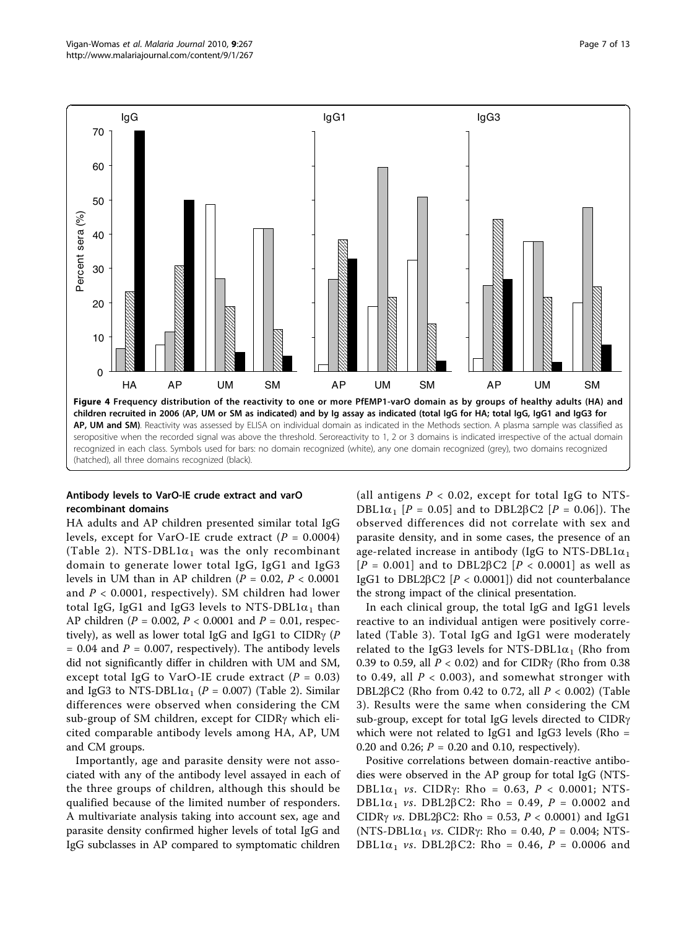<span id="page-6-0"></span>

## Antibody levels to VarO-IE crude extract and varO recombinant domains

HA adults and AP children presented similar total IgG levels, except for VarO-IE crude extract ( $P = 0.0004$ ) (Table [2](#page-7-0)). NTS-DBL1 $\alpha_1$  was the only recombinant domain to generate lower total IgG, IgG1 and IgG3 levels in UM than in AP children ( $P = 0.02$ ,  $P < 0.0001$ and  $P < 0.0001$ , respectively). SM children had lower total IgG, IgG1 and IgG3 levels to NTS-DBL1 $\alpha_1$  than AP children ( $P = 0.002$ ,  $P < 0.0001$  and  $P = 0.01$ , respectively), as well as lower total IgG and IgG1 to CIDR $\gamma$  (P  $= 0.04$  and  $P = 0.007$ , respectively). The antibody levels did not significantly differ in children with UM and SM, except total IgG to VarO-IE crude extract  $(P = 0.03)$ and IgG3 to NTS-DBL1 $\alpha_1$  (P = 0.007) (Table [2\)](#page-7-0). Similar differences were observed when considering the CM sub-group of SM children, except for  $CIDR<sub>Y</sub>$  which elicited comparable antibody levels among HA, AP, UM and CM groups.

Importantly, age and parasite density were not associated with any of the antibody level assayed in each of the three groups of children, although this should be qualified because of the limited number of responders. A multivariate analysis taking into account sex, age and parasite density confirmed higher levels of total IgG and IgG subclasses in AP compared to symptomatic children (all antigens  $P < 0.02$ , except for total IgG to NTS-DBL1α<sub>1</sub> [*P* = 0.05] and to DBL2βC2 [*P* = 0.06]). The observed differences did not correlate with sex and parasite density, and in some cases, the presence of an age-related increase in antibody (IgG to NTS-DBL1 $\alpha_1$  $[P = 0.001]$  and to DBL2 $\beta$ C2  $[P < 0.0001]$  as well as IgG1 to DBL2 $\beta$ C2 [P < 0.0001]) did not counterbalance the strong impact of the clinical presentation.

In each clinical group, the total IgG and IgG1 levels reactive to an individual antigen were positively correlated (Table [3](#page-7-0)). Total IgG and IgG1 were moderately related to the IgG3 levels for NTS-DBL1 $\alpha_1$  (Rho from 0.39 to 0.59, all  $P < 0.02$ ) and for CIDR $\gamma$  (Rho from 0.38 to 0.49, all  $P < 0.003$ ), and somewhat stronger with DBL2 $\beta$ C2 (Rho from 0.42 to 0.72, all  $P < 0.002$ ) (Table [3\)](#page-7-0). Results were the same when considering the CM sub-group, except for total IgG levels directed to CIDRg which were not related to IgG1 and IgG3 levels (Rho  $=$ 0.20 and 0.26;  $P = 0.20$  and 0.10, respectively).

Positive correlations between domain-reactive antibodies were observed in the AP group for total IgG (NTS-DBL1α<sub>1</sub> vs. CIDRγ: Rho = 0.63, P < 0.0001; NTS-DBL1α<sub>1</sub> *vs.* DBL2βC2: Rho = 0.49,  $P = 0.0002$  and CIDR $\gamma$  vs. DBL2 $\beta$ C2: Rho = 0.53,  $P < 0.0001$ ) and IgG1 (NTS-DBL1 $\alpha_1$  *vs.* CIDRy: Rho = 0.40,  $P = 0.004$ ; NTS-DBL1α<sub>1</sub> *vs.* DBL2βC2: Rho = 0.46,  $P = 0.0006$  and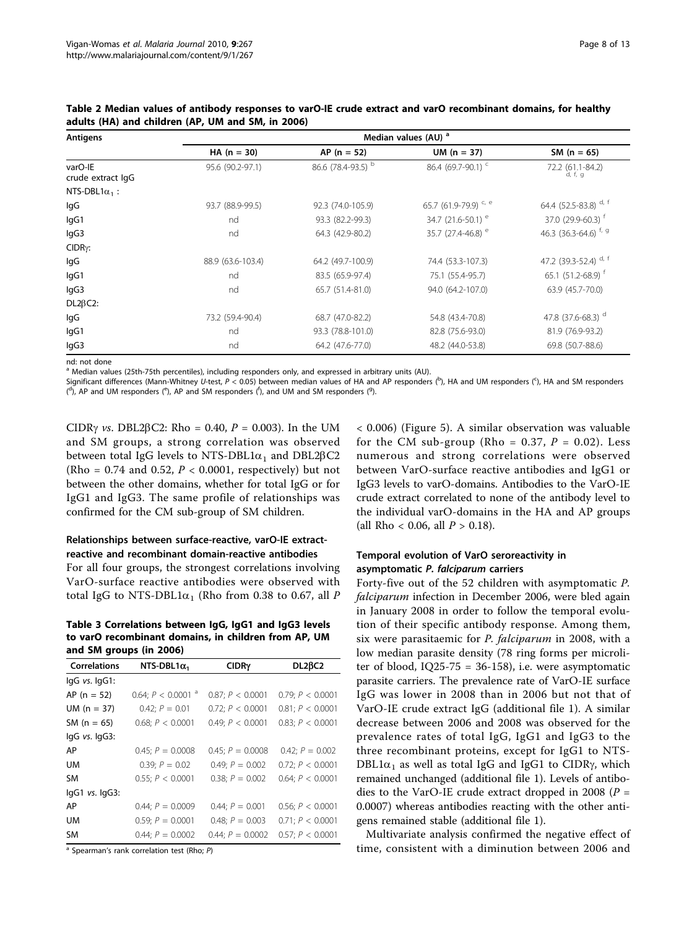| Antigens                     | Median values (AU) <sup>a</sup> |                    |                                  |                               |  |
|------------------------------|---------------------------------|--------------------|----------------------------------|-------------------------------|--|
|                              | $HA (n = 30)$                   | $AP (n = 52)$      | $UM (n = 37)$                    | SM ( $n = 65$ )               |  |
| varO-IE<br>crude extract IgG | 95.6 (90.2-97.1)                | 86.6 (78.4-93.5) b | 86.4 (69.7-90.1) <sup>c</sup>    | 72.2 (61.1-84.2)<br>d, f, g   |  |
| NTS-DBL1 $\alpha_1$ :        |                                 |                    |                                  |                               |  |
| lgG                          | 93.7 (88.9-99.5)                | 92.3 (74.0-105.9)  | 65.7 (61.9-79.9) <sup>c, e</sup> | 64.4 (52.5-83.8) d, f         |  |
| lgG1                         | nd                              | 93.3 (82.2-99.3)   | 34.7 (21.6-50.1) <sup>e</sup>    | 37.0 (29.9-60.3) f            |  |
| lgG3                         | nd                              | 64.3 (42.9-80.2)   | 35.7 (27.4-46.8) <sup>e</sup>    | 46.3 (36.3-64.6) f, g         |  |
| CIDRy:                       |                                 |                    |                                  |                               |  |
| lgG                          | 88.9 (63.6-103.4)               | 64.2 (49.7-100.9)  | 74.4 (53.3-107.3)                | 47.2 (39.3-52.4) d, f         |  |
| lgG1                         | nd                              | 83.5 (65.9-97.4)   | 75.1 (55.4-95.7)                 | 65.1 (51.2-68.9) <sup>f</sup> |  |
| lgG3                         | nd                              | 65.7 (51.4-81.0)   | 94.0 (64.2-107.0)                | 63.9 (45.7-70.0)              |  |
| $DL2\beta$ C2:               |                                 |                    |                                  |                               |  |
| lgG                          | 73.2 (59.4-90.4)                | 68.7 (47.0-82.2)   | 54.8 (43.4-70.8)                 | 47.8 (37.6-68.3) <sup>d</sup> |  |
| lgG1                         | nd                              | 93.3 (78.8-101.0)  | 82.8 (75.6-93.0)                 | 81.9 (76.9-93.2)              |  |
| lgG3                         | nd                              | 64.2 (47.6-77.0)   | 48.2 (44.0-53.8)                 | 69.8 (50.7-88.6)              |  |

<span id="page-7-0"></span>Table 2 Median values of antibody responses to varO-IE crude extract and varO recombinant domains, for healthy adults (HA) and children (AP, UM and SM, in 2006)

nd: not done

<sup>a</sup> Median values (25th-75th percentiles), including responders only, and expressed in arbitrary units (AU).

Significant differences (Mann-Whitney U-test, P < 0.05) between median values of HA and AP responders (<sup>b</sup>), HA and UM responders (<sup>c</sup>), HA and SM responders  $($ <sup>d</sup>), AP and UM responders (<sup>e</sup>), AP and SM responders (<sup>f</sup>), and UM and SM responders (<sup>g</sup>).

CIDR $\gamma$  vs. DBL2 $\beta$ C2: Rho = 0.40, P = 0.003). In the UM and SM groups, a strong correlation was observed between total IgG levels to NTS-DBL1 $\alpha_1$  and DBL2 $\beta$ C2 (Rho = 0.74 and 0.52,  $P < 0.0001$ , respectively) but not between the other domains, whether for total IgG or for IgG1 and IgG3. The same profile of relationships was confirmed for the CM sub-group of SM children.

## Relationships between surface-reactive, varO-IE extractreactive and recombinant domain-reactive antibodies

For all four groups, the strongest correlations involving VarO-surface reactive antibodies were observed with total IgG to NTS-DBL1 $\alpha_1$  (Rho from 0.38 to 0.67, all P

Table 3 Correlations between IgG, IgG1 and IgG3 levels to varO recombinant domains, in children from AP, UM and SM groups (in 2006)

| <b>Correlations</b> | NTS-DBL1 $\alpha_1$             | <b>CIDRγ</b>       | $DL2\beta$ C <sub>2</sub> |
|---------------------|---------------------------------|--------------------|---------------------------|
| $IqG$ vs. $IqG1$ :  |                                 |                    |                           |
| $AP (n = 52)$       | 0.64; $P < 0.0001$ <sup>a</sup> | 0.87; P < 0.0001   | 0.79; P < 0.0001          |
| UM $(n = 37)$       | $0.42; P = 0.01$                | 0.72; $P < 0.0001$ | 0.81; P < 0.0001          |
| SM ( $n = 65$ )     | 0.68; $P < 0.0001$              | 0.49: P < 0.0001   | 0.83; P < 0.0001          |
| IgG vs. IgG3:       |                                 |                    |                           |
| AP                  | $0.45: P = 0.0008$              | $0.45: P = 0.0008$ | $0.42; P = 0.002$         |
| <b>UM</b>           | 0.39; $P = 0.02$                | 0.49; $P = 0.002$  | 0.72; P < 0.0001          |
| <b>SM</b>           | 0.55: P < 0.0001                | $0.38: P = 0.002$  | 0.64: P < 0.0001          |
| $lgG1$ vs. $lgG3$ : |                                 |                    |                           |
| AP                  | 0.44; $P = 0.0009$              | 0.44; $P = 0.001$  | 0.56; $P < 0.0001$        |
| <b>UM</b>           | 0.59; $P = 0.0001$              | 0.48; $P = 0.003$  | 0.71; P < 0.0001          |
| <b>SM</b>           | $0.44: P = 0.0002$              | $0.44: P = 0.0002$ | 0.57; P < 0.0001          |

 $a$  Spearman's rank correlation test (Rho;  $P$ )

< 0.006) (Figure [5](#page-8-0)). A similar observation was valuable for the CM sub-group (Rho =  $0.37$ ,  $P = 0.02$ ). Less numerous and strong correlations were observed between VarO-surface reactive antibodies and IgG1 or IgG3 levels to varO-domains. Antibodies to the VarO-IE crude extract correlated to none of the antibody level to the individual varO-domains in the HA and AP groups (all Rho < 0.06, all  $P > 0.18$ ).

## Temporal evolution of VarO seroreactivity in asymptomatic P. falciparum carriers

Forty-five out of the 52 children with asymptomatic P. falciparum infection in December 2006, were bled again in January 2008 in order to follow the temporal evolution of their specific antibody response. Among them, six were parasitaemic for P. falciparum in 2008, with a low median parasite density (78 ring forms per microliter of blood, IQ25-75 =  $36-158$ ), i.e. were asymptomatic parasite carriers. The prevalence rate of VarO-IE surface IgG was lower in 2008 than in 2006 but not that of VarO-IE crude extract IgG (additional file [1\)](#page-10-0). A similar decrease between 2006 and 2008 was observed for the prevalence rates of total IgG, IgG1 and IgG3 to the three recombinant proteins, except for IgG1 to NTS- $DBL1\alpha_1$  as well as total IgG and IgG1 to CIDRy, which remained unchanged (additional file [1](#page-10-0)). Levels of antibodies to the VarO-IE crude extract dropped in 2008 ( $P =$ 0.0007) whereas antibodies reacting with the other antigens remained stable (additional file [1](#page-10-0)).

Multivariate analysis confirmed the negative effect of time, consistent with a diminution between 2006 and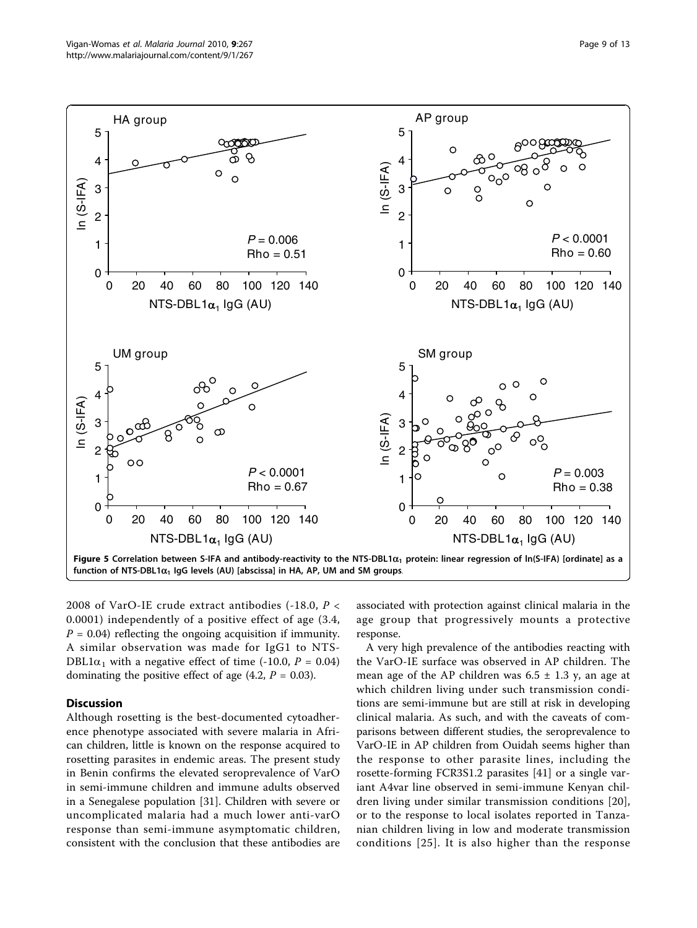<span id="page-8-0"></span>

2008 of VarO-IE crude extract antibodies (-18.0, P < 0.0001) independently of a positive effect of age (3.4,  $P = 0.04$ ) reflecting the ongoing acquisition if immunity. A similar observation was made for IgG1 to NTS-DBL1 $\alpha_1$  with a negative effect of time (-10.0, P = 0.04) dominating the positive effect of age  $(4.2, P = 0.03)$ .

## Discussion

Although rosetting is the best-documented cytoadherence phenotype associated with severe malaria in African children, little is known on the response acquired to rosetting parasites in endemic areas. The present study in Benin confirms the elevated seroprevalence of VarO in semi-immune children and immune adults observed in a Senegalese population [[31\]](#page-11-0). Children with severe or uncomplicated malaria had a much lower anti-varO response than semi-immune asymptomatic children, consistent with the conclusion that these antibodies are

associated with protection against clinical malaria in the age group that progressively mounts a protective response.

A very high prevalence of the antibodies reacting with the VarO-IE surface was observed in AP children. The mean age of the AP children was  $6.5 \pm 1.3$  y, an age at which children living under such transmission conditions are semi-immune but are still at risk in developing clinical malaria. As such, and with the caveats of comparisons between different studies, the seroprevalence to VarO-IE in AP children from Ouidah seems higher than the response to other parasite lines, including the rosette-forming FCR3S1.2 parasites [[41\]](#page-12-0) or a single variant A4var line observed in semi-immune Kenyan children living under similar transmission conditions [[20](#page-11-0)], or to the response to local isolates reported in Tanzanian children living in low and moderate transmission conditions [[25](#page-11-0)]. It is also higher than the response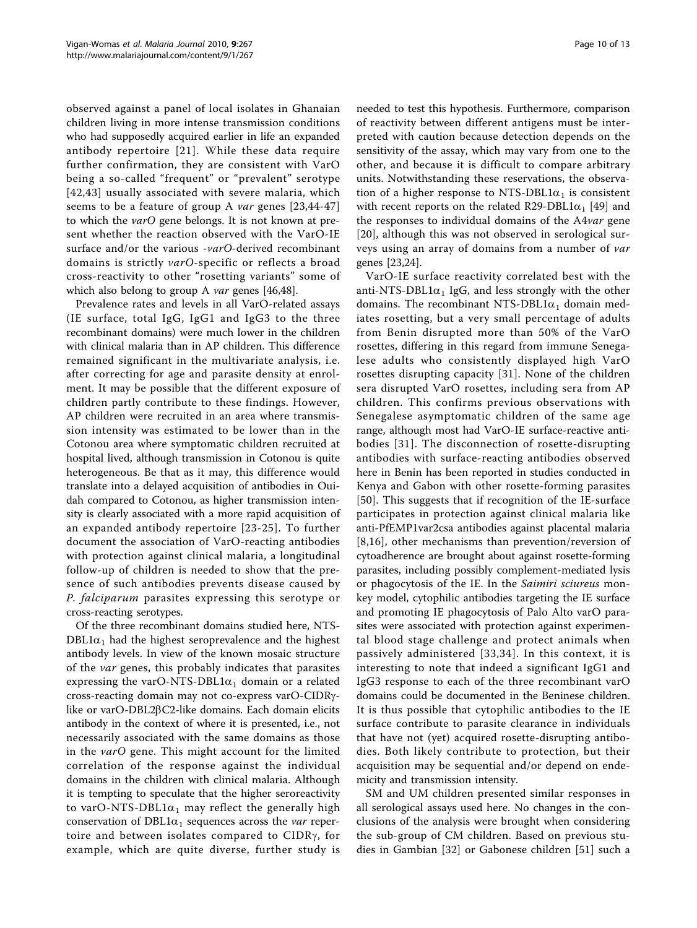observed against a panel of local isolates in Ghanaian children living in more intense transmission conditions who had supposedly acquired earlier in life an expanded antibody repertoire [[21](#page-11-0)]. While these data require further confirmation, they are consistent with VarO being a so-called "frequent" or "prevalent" serotype [[42,43\]](#page-12-0) usually associated with severe malaria, which seems to be a feature of group A var genes [[23](#page-11-0)[,44-47](#page-12-0)] to which the varO gene belongs. It is not known at present whether the reaction observed with the VarO-IE surface and/or the various -varO-derived recombinant domains is strictly varO-specific or reflects a broad cross-reactivity to other "rosetting variants" some of which also belong to group A *var* genes [[46,48\]](#page-12-0).

Prevalence rates and levels in all VarO-related assays (IE surface, total IgG, IgG1 and IgG3 to the three recombinant domains) were much lower in the children with clinical malaria than in AP children. This difference remained significant in the multivariate analysis, i.e. after correcting for age and parasite density at enrolment. It may be possible that the different exposure of children partly contribute to these findings. However, AP children were recruited in an area where transmission intensity was estimated to be lower than in the Cotonou area where symptomatic children recruited at hospital lived, although transmission in Cotonou is quite heterogeneous. Be that as it may, this difference would translate into a delayed acquisition of antibodies in Ouidah compared to Cotonou, as higher transmission intensity is clearly associated with a more rapid acquisition of an expanded antibody repertoire [[23-25](#page-11-0)]. To further document the association of VarO-reacting antibodies with protection against clinical malaria, a longitudinal follow-up of children is needed to show that the presence of such antibodies prevents disease caused by P. falciparum parasites expressing this serotype or cross-reacting serotypes.

Of the three recombinant domains studied here, NTS- $DBL1\alpha_1$  had the highest seroprevalence and the highest antibody levels. In view of the known mosaic structure of the var genes, this probably indicates that parasites expressing the varO-NTS-DBL1 $\alpha_1$  domain or a related cross-reacting domain may not co-express varO-CIDRglike or varO-DBL2 $\beta$ C2-like domains. Each domain elicits antibody in the context of where it is presented, i.e., not necessarily associated with the same domains as those in the varO gene. This might account for the limited correlation of the response against the individual domains in the children with clinical malaria. Although it is tempting to speculate that the higher seroreactivity to varO-NTS-DBL1 $\alpha_1$  may reflect the generally high conservation of  $DBL1\alpha_1$  sequences across the *var* repertoire and between isolates compared to  $CIDR<sub>\gamma</sub>$ , for example, which are quite diverse, further study is needed to test this hypothesis. Furthermore, comparison of reactivity between different antigens must be interpreted with caution because detection depends on the sensitivity of the assay, which may vary from one to the other, and because it is difficult to compare arbitrary units. Notwithstanding these reservations, the observation of a higher response to NTS-DBL1 $\alpha_1$  is consistent with recent reports on the related R29-DBL1 $\alpha_1$  [\[49](#page-12-0)] and the responses to individual domains of the A4var gene [[20](#page-11-0)], although this was not observed in serological surveys using an array of domains from a number of var genes [[23](#page-11-0),[24](#page-11-0)].

VarO-IE surface reactivity correlated best with the anti-NTS-DBL1 $\alpha_1$  IgG, and less strongly with the other domains. The recombinant NTS-DBL1 $\alpha_1$  domain mediates rosetting, but a very small percentage of adults from Benin disrupted more than 50% of the VarO rosettes, differing in this regard from immune Senegalese adults who consistently displayed high VarO rosettes disrupting capacity [[31](#page-11-0)]. None of the children sera disrupted VarO rosettes, including sera from AP children. This confirms previous observations with Senegalese asymptomatic children of the same age range, although most had VarO-IE surface-reactive antibodies [[31\]](#page-11-0). The disconnection of rosette-disrupting antibodies with surface-reacting antibodies observed here in Benin has been reported in studies conducted in Kenya and Gabon with other rosette-forming parasites [[50](#page-12-0)]. This suggests that if recognition of the IE-surface participates in protection against clinical malaria like anti-PfEMP1var2csa antibodies against placental malaria [[8,16\]](#page-11-0), other mechanisms than prevention/reversion of cytoadherence are brought about against rosette-forming parasites, including possibly complement-mediated lysis or phagocytosis of the IE. In the Saimiri sciureus monkey model, cytophilic antibodies targeting the IE surface and promoting IE phagocytosis of Palo Alto varO parasites were associated with protection against experimental blood stage challenge and protect animals when passively administered [[33](#page-11-0),[34\]](#page-11-0). In this context, it is interesting to note that indeed a significant IgG1 and IgG3 response to each of the three recombinant varO domains could be documented in the Beninese children. It is thus possible that cytophilic antibodies to the IE surface contribute to parasite clearance in individuals that have not (yet) acquired rosette-disrupting antibodies. Both likely contribute to protection, but their acquisition may be sequential and/or depend on endemicity and transmission intensity.

SM and UM children presented similar responses in all serological assays used here. No changes in the conclusions of the analysis were brought when considering the sub-group of CM children. Based on previous studies in Gambian [[32\]](#page-11-0) or Gabonese children [[51\]](#page-12-0) such a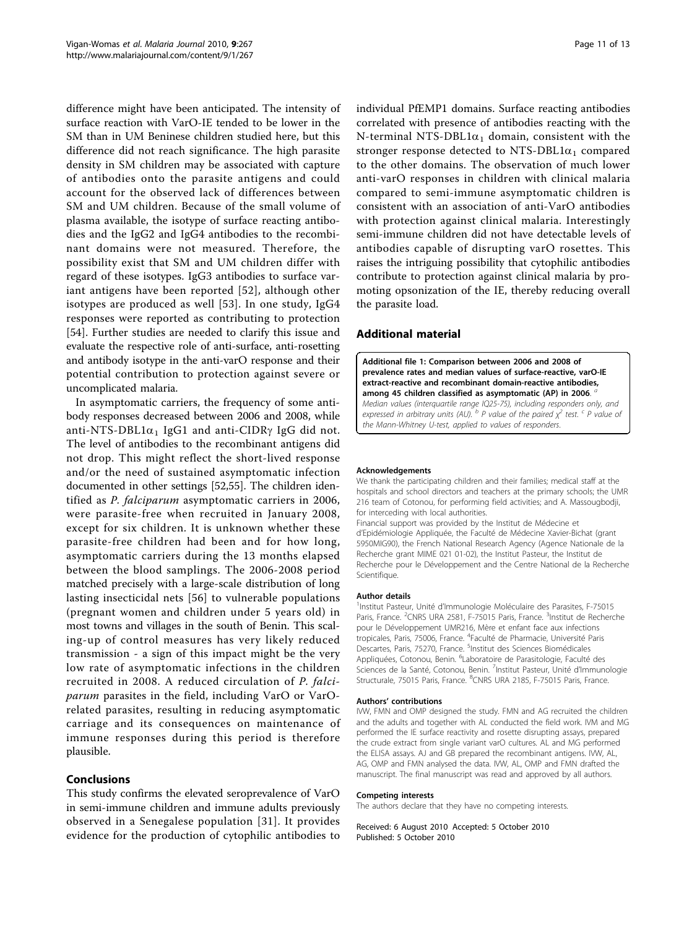<span id="page-10-0"></span>difference might have been anticipated. The intensity of surface reaction with VarO-IE tended to be lower in the SM than in UM Beninese children studied here, but this difference did not reach significance. The high parasite density in SM children may be associated with capture of antibodies onto the parasite antigens and could account for the observed lack of differences between SM and UM children. Because of the small volume of plasma available, the isotype of surface reacting antibodies and the IgG2 and IgG4 antibodies to the recombinant domains were not measured. Therefore, the possibility exist that SM and UM children differ with regard of these isotypes. IgG3 antibodies to surface variant antigens have been reported [[52](#page-12-0)], although other isotypes are produced as well [[53](#page-12-0)]. In one study, IgG4 responses were reported as contributing to protection [[54\]](#page-12-0). Further studies are needed to clarify this issue and evaluate the respective role of anti-surface, anti-rosetting and antibody isotype in the anti-varO response and their potential contribution to protection against severe or uncomplicated malaria.

In asymptomatic carriers, the frequency of some antibody responses decreased between 2006 and 2008, while anti-NTS-DBL1 $\alpha_1$  IgG1 and anti-CIDR $\gamma$  IgG did not. The level of antibodies to the recombinant antigens did not drop. This might reflect the short-lived response and/or the need of sustained asymptomatic infection documented in other settings [\[52,55](#page-12-0)]. The children identified as P. falciparum asymptomatic carriers in 2006, were parasite-free when recruited in January 2008, except for six children. It is unknown whether these parasite-free children had been and for how long, asymptomatic carriers during the 13 months elapsed between the blood samplings. The 2006-2008 period matched precisely with a large-scale distribution of long lasting insecticidal nets [[56](#page-12-0)] to vulnerable populations (pregnant women and children under 5 years old) in most towns and villages in the south of Benin. This scaling-up of control measures has very likely reduced transmission - a sign of this impact might be the very low rate of asymptomatic infections in the children recruited in 2008. A reduced circulation of P. falciparum parasites in the field, including VarO or VarOrelated parasites, resulting in reducing asymptomatic carriage and its consequences on maintenance of immune responses during this period is therefore plausible.

## Conclusions

This study confirms the elevated seroprevalence of VarO in semi-immune children and immune adults previously observed in a Senegalese population [\[31\]](#page-11-0). It provides evidence for the production of cytophilic antibodies to individual PfEMP1 domains. Surface reacting antibodies correlated with presence of antibodies reacting with the N-terminal NTS-DBL1 $\alpha_1$  domain, consistent with the stronger response detected to NTS-DBL1 $\alpha_1$  compared to the other domains. The observation of much lower anti-varO responses in children with clinical malaria compared to semi-immune asymptomatic children is consistent with an association of anti-VarO antibodies with protection against clinical malaria. Interestingly semi-immune children did not have detectable levels of antibodies capable of disrupting varO rosettes. This raises the intriguing possibility that cytophilic antibodies contribute to protection against clinical malaria by promoting opsonization of the IE, thereby reducing overall the parasite load.

## Additional material

[Additional file 1: C](http://www.biomedcentral.com/content/supplementary/1475-2875-9-267-S1.DOC)omparison between 2006 and 2008 of prevalence rates and median values of surface-reactive, varO-IE extract-reactive and recombinant domain-reactive antibodies, among 45 children classified as asymptomatic (AP) in 2006. Median values (interquartile range IQ25-75), including responders only, and expressed in arbitrary units (AU).  $b$  P value of the paired  $\chi^2$  test. <sup>c</sup> P value of

the Mann-Whitney U-test, applied to values of responders.

#### Acknowledgements

We thank the participating children and their families; medical staff at the hospitals and school directors and teachers at the primary schools; the UMR 216 team of Cotonou, for performing field activities; and A. Massougbodji, for interceding with local authorities.

Financial support was provided by the Institut de Médecine et d'Epidémiologie Appliquée, the Faculté de Médecine Xavier-Bichat (grant 5950MIG90), the French National Research Agency (Agence Nationale de la Recherche grant MIME 021 01-02), the Institut Pasteur, the Institut de Recherche pour le Développement and the Centre National de la Recherche Scientifique.

#### Author details

<sup>1</sup>Institut Pasteur, Unité d'Immunologie Moléculaire des Parasites, F-75015 Paris, France. <sup>2</sup>CNRS URA 2581, F-75015 Paris, France. <sup>3</sup>Institut de Recherche pour le Développement UMR216, Mère et enfant face aux infections tropicales, Paris, 75006, France. <sup>4</sup> Faculté de Pharmacie, Université Paris Descartes, Paris, 75270, France. <sup>5</sup>Institut des Sciences Biomédicales Appliquées, Cotonou, Benin. <sup>6</sup>Laboratoire de Parasitologie, Faculté des Sciences de la Santé, Cotonou, Benin. 7Institut Pasteur, Unité d'Immunologie Structurale, 75015 Paris, France. <sup>8</sup>CNRS URA 2185, F-75015 Paris, France

#### Authors' contributions

IVW, FMN and OMP designed the study. FMN and AG recruited the children and the adults and together with AL conducted the field work. IVM and MG performed the IE surface reactivity and rosette disrupting assays, prepared the crude extract from single variant varO cultures. AL and MG performed the ELISA assays. AJ and GB prepared the recombinant antigens. IVW, AL, AG, OMP and FMN analysed the data. IVW, AL, OMP and FMN drafted the manuscript. The final manuscript was read and approved by all authors.

#### Competing interests

The authors declare that they have no competing interests.

Received: 6 August 2010 Accepted: 5 October 2010 Published: 5 October 2010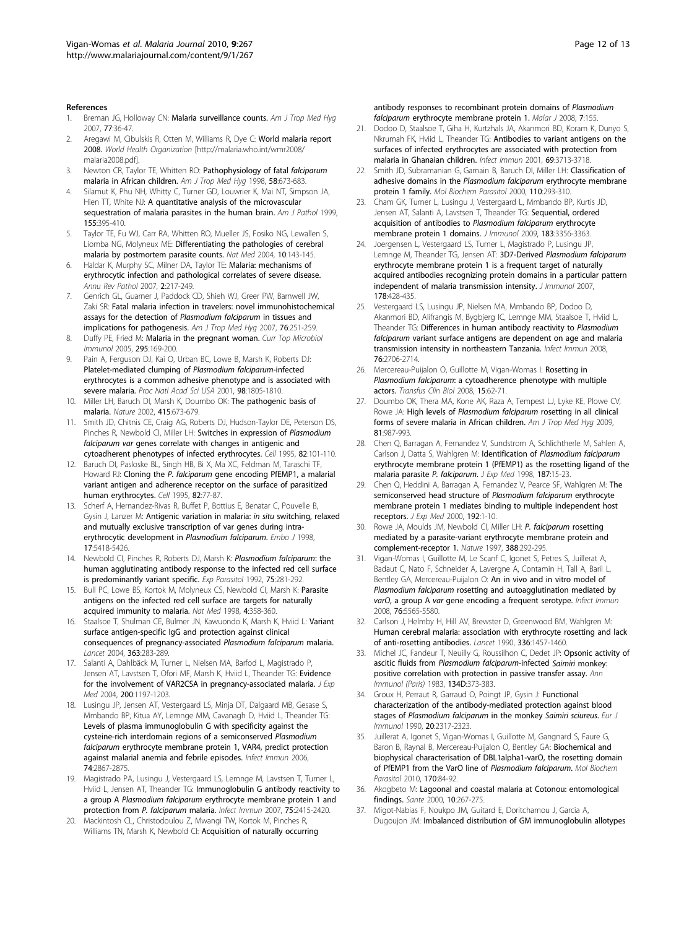#### <span id="page-11-0"></span>References

- 1. Breman JG, Holloway CN: [Malaria surveillance counts.](http://www.ncbi.nlm.nih.gov/pubmed/18165473?dopt=Abstract) Am J Trop Med Hyg 2007, 77:36-47.
- 2. Aregawi M, Cibulskis R, Otten M, Williams R, Dye C: World malaria report 2008. World Health Organization [\[http://malaria.who.int/wmr2008/](http://malaria.who.int/wmr2008/malaria2008.pdf) [malaria2008.pdf](http://malaria.who.int/wmr2008/malaria2008.pdf)].
- 3. Newton CR, Taylor TE, Whitten RO: [Pathophysiology of fatal](http://www.ncbi.nlm.nih.gov/pubmed/9598460?dopt=Abstract) falciparum [malaria in African children.](http://www.ncbi.nlm.nih.gov/pubmed/9598460?dopt=Abstract) Am J Trop Med Hyg 1998, 58:673-683.
- Silamut K, Phu NH, Whitty C, Turner GD, Louwrier K, Mai NT, Simpson JA, Hien TT, White NJ: [A quantitative analysis of the microvascular](http://www.ncbi.nlm.nih.gov/pubmed/10433933?dopt=Abstract) [sequestration of malaria parasites in the human brain.](http://www.ncbi.nlm.nih.gov/pubmed/10433933?dopt=Abstract) Am J Pathol 1999, 155:395-410.
- 5. Taylor TE, Fu WJ, Carr RA, Whitten RO, Mueller JS, Fosiko NG, Lewallen S, Liomba NG, Molyneux ME: [Differentiating the pathologies of cerebral](http://www.ncbi.nlm.nih.gov/pubmed/14745442?dopt=Abstract) [malaria by postmortem parasite counts.](http://www.ncbi.nlm.nih.gov/pubmed/14745442?dopt=Abstract) Nat Med 2004, 10:143-145.
- 6. Haldar K, Murphy SC, Milner DA, Taylor TE: [Malaria: mechanisms of](http://www.ncbi.nlm.nih.gov/pubmed/18039099?dopt=Abstract) [erythrocytic infection and pathological correlates of severe disease.](http://www.ncbi.nlm.nih.gov/pubmed/18039099?dopt=Abstract) Annu Rev Pathol 2007, 2:217-249.
- 7. Genrich GL, Guarner J, Paddock CD, Shieh WJ, Greer PW, Barnwell JW, Zaki SR: [Fatal malaria infection in travelers: novel immunohistochemical](http://www.ncbi.nlm.nih.gov/pubmed/17297032?dopt=Abstract) [assays for the detection of](http://www.ncbi.nlm.nih.gov/pubmed/17297032?dopt=Abstract) Plasmodium falciparum in tissues and [implications for pathogenesis.](http://www.ncbi.nlm.nih.gov/pubmed/17297032?dopt=Abstract) Am J Trop Med Hyg 2007, 76:251-259.
- 8. Duffy PE, Fried M: [Malaria in the pregnant woman.](http://www.ncbi.nlm.nih.gov/pubmed/16265891?dopt=Abstract) Curr Top Microbiol Immunol 2005, 295:169-200.
- 9. Pain A, Ferguson DJ, Kai O, Urban BC, Lowe B, Marsh K, Roberts DJ: [Platelet-mediated clumping of](http://www.ncbi.nlm.nih.gov/pubmed/11172032?dopt=Abstract) Plasmodium falciparum-infected [erythrocytes is a common adhesive phenotype and is associated with](http://www.ncbi.nlm.nih.gov/pubmed/11172032?dopt=Abstract) [severe malaria.](http://www.ncbi.nlm.nih.gov/pubmed/11172032?dopt=Abstract) Proc Natl Acad Sci USA 2001, 98:1805-1810.
- 10. Miller LH, Baruch DI, Marsh K, Doumbo OK: [The pathogenic basis of](http://www.ncbi.nlm.nih.gov/pubmed/11832955?dopt=Abstract) [malaria.](http://www.ncbi.nlm.nih.gov/pubmed/11832955?dopt=Abstract) Nature 2002, 415:673-679.
- 11. Smith JD, Chitnis CE, Craig AG, Roberts DJ, Hudson-Taylor DE, Peterson DS, Pinches R, Newbold CI, Miller LH: [Switches in expression of](http://www.ncbi.nlm.nih.gov/pubmed/7606775?dopt=Abstract) Plasmodium falciparum var [genes correlate with changes in antigenic and](http://www.ncbi.nlm.nih.gov/pubmed/7606775?dopt=Abstract) [cytoadherent phenotypes of infected erythrocytes.](http://www.ncbi.nlm.nih.gov/pubmed/7606775?dopt=Abstract) Cell 1995, 82:101-110.
- 12. Baruch DI, Pasloske BL, Singh HB, Bi X, Ma XC, Feldman M, Taraschi TF, Howard RJ: Cloning the P. falciparum [gene encoding PfEMP1, a malarial](http://www.ncbi.nlm.nih.gov/pubmed/7541722?dopt=Abstract) [variant antigen and adherence receptor on the surface of parasitized](http://www.ncbi.nlm.nih.gov/pubmed/7541722?dopt=Abstract) [human erythrocytes.](http://www.ncbi.nlm.nih.gov/pubmed/7541722?dopt=Abstract) Cell 1995, 82:77-87.
- 13. Scherf A, Hernandez-Rivas R, Buffet P, Bottius E, Benatar C, Pouvelle B, Gysin J, Lanzer M: [Antigenic variation in malaria:](http://www.ncbi.nlm.nih.gov/pubmed/9736619?dopt=Abstract) in situ switching, relaxed [and mutually exclusive transcription of var genes during intra](http://www.ncbi.nlm.nih.gov/pubmed/9736619?dopt=Abstract)[erythrocytic development in](http://www.ncbi.nlm.nih.gov/pubmed/9736619?dopt=Abstract) Plasmodium falciparum. Embo J 1998, 17:5418-5426.
- 14. Newbold CI, Pinches R, Roberts DJ, Marsh K: [Plasmodium falciparum](http://www.ncbi.nlm.nih.gov/pubmed/1426131?dopt=Abstract): the [human agglutinating antibody response to the infected red cell surface](http://www.ncbi.nlm.nih.gov/pubmed/1426131?dopt=Abstract) [is predominantly variant specific.](http://www.ncbi.nlm.nih.gov/pubmed/1426131?dopt=Abstract) Exp Parasitol 1992, 75:281-292.
- 15. Bull PC, Lowe BS, Kortok M, Molyneux CS, Newbold CI, Marsh K: [Parasite](http://www.ncbi.nlm.nih.gov/pubmed/9500614?dopt=Abstract) [antigens on the infected red cell surface are targets for naturally](http://www.ncbi.nlm.nih.gov/pubmed/9500614?dopt=Abstract) [acquired immunity to malaria.](http://www.ncbi.nlm.nih.gov/pubmed/9500614?dopt=Abstract) Nat Med 1998, 4:358-360.
- 16. Staalsoe T, Shulman CE, Bulmer JN, Kawuondo K, Marsh K, Hviid L: [Variant](http://www.ncbi.nlm.nih.gov/pubmed/14751701?dopt=Abstract) [surface antigen-specific IgG and protection against clinical](http://www.ncbi.nlm.nih.gov/pubmed/14751701?dopt=Abstract) [consequences of pregnancy-associated](http://www.ncbi.nlm.nih.gov/pubmed/14751701?dopt=Abstract) Plasmodium falciparum malaria. Lancet 2004, 363:283-289.
- 17. Salanti A, Dahlbäck M, Turner L, Nielsen MA, Barfod L, Magistrado P, Jensen AT, Lavstsen T, Ofori MF, Marsh K, Hviid L, Theander TG: [Evidence](http://www.ncbi.nlm.nih.gov/pubmed/15520249?dopt=Abstract) [for the involvement of VAR2CSA in pregnancy-associated malaria.](http://www.ncbi.nlm.nih.gov/pubmed/15520249?dopt=Abstract) J Exp Med 2004, 200:1197-1203.
- 18. Lusingu JP, Jensen AT, Vestergaard LS, Minja DT, Dalgaard MB, Gesase S, Mmbando BP, Kitua AY, Lemnge MM, Cavanagh D, Hviid L, Theander TG: [Levels of plasma immunoglobulin G with specificity against the](http://www.ncbi.nlm.nih.gov/pubmed/16622225?dopt=Abstract) [cysteine-rich interdomain regions of a semiconserved](http://www.ncbi.nlm.nih.gov/pubmed/16622225?dopt=Abstract) Plasmodium falciparum [erythrocyte membrane protein 1, VAR4, predict protection](http://www.ncbi.nlm.nih.gov/pubmed/16622225?dopt=Abstract) [against malarial anemia and febrile episodes.](http://www.ncbi.nlm.nih.gov/pubmed/16622225?dopt=Abstract) Infect Immun 2006, 74:2867-2875.
- 19. Magistrado PA, Lusingu J, Vestergaard LS, Lemnge M, Lavstsen T, Turner L, Hviid L, Jensen AT, Theander TG: [Immunoglobulin G antibody reactivity to](http://www.ncbi.nlm.nih.gov/pubmed/17283085?dopt=Abstract) a group A Plasmodium falciparum [erythrocyte membrane protein 1 and](http://www.ncbi.nlm.nih.gov/pubmed/17283085?dopt=Abstract) [protection from](http://www.ncbi.nlm.nih.gov/pubmed/17283085?dopt=Abstract) P. falciparum malaria. Infect Immun 2007, 75:2415-2420.
- 20. Mackintosh CL, Christodoulou Z, Mwangi TW, Kortok M, Pinches R, Williams TN, Marsh K, Newbold CI: [Acquisition of naturally occurring](http://www.ncbi.nlm.nih.gov/pubmed/18706102?dopt=Abstract)

[antibody responses to recombinant protein domains of](http://www.ncbi.nlm.nih.gov/pubmed/18706102?dopt=Abstract) Plasmodium falciparum [erythrocyte membrane protein 1.](http://www.ncbi.nlm.nih.gov/pubmed/18706102?dopt=Abstract) Malar J 2008, 7:155.

- 21. Dodoo D, Staalsoe T, Giha H, Kurtzhals JA, Akanmori BD, Koram K, Dunyo S, Nkrumah FK, Hviid L, Theander TG: [Antibodies to variant antigens on the](http://www.ncbi.nlm.nih.gov/pubmed/11349035?dopt=Abstract) [surfaces of infected erythrocytes are associated with protection from](http://www.ncbi.nlm.nih.gov/pubmed/11349035?dopt=Abstract) [malaria in Ghanaian children.](http://www.ncbi.nlm.nih.gov/pubmed/11349035?dopt=Abstract) Infect Immun 2001, 69:3713-3718.
- 22. Smith JD, Subramanian G, Gamain B, Baruch DI, Miller LH: [Classification of](http://www.ncbi.nlm.nih.gov/pubmed/11071284?dopt=Abstract) [adhesive domains in the](http://www.ncbi.nlm.nih.gov/pubmed/11071284?dopt=Abstract) Plasmodium falciparum erythrocyte membrane [protein 1 family.](http://www.ncbi.nlm.nih.gov/pubmed/11071284?dopt=Abstract) Mol Biochem Parasitol 2000, 110:293-310.
- 23. Cham GK, Turner L, Lusingu J, Vestergaard L, Mmbando BP, Kurtis JD, Jensen AT, Salanti A, Lavstsen T, Theander TG: [Sequential, ordered](http://www.ncbi.nlm.nih.gov/pubmed/19675168?dopt=Abstract) [acquisition of antibodies to](http://www.ncbi.nlm.nih.gov/pubmed/19675168?dopt=Abstract) Plasmodium falciparum erythrocyte [membrane protein 1 domains.](http://www.ncbi.nlm.nih.gov/pubmed/19675168?dopt=Abstract) J Immunol 2009, 183:3356-3363.
- 24. Joergensen L, Vestergaard LS, Turner L, Magistrado P, Lusingu JP, Lemnge M, Theander TG, Jensen AT: 3D7-Derived [Plasmodium falciparum](http://www.ncbi.nlm.nih.gov/pubmed/17182581?dopt=Abstract) [erythrocyte membrane protein 1 is a frequent target of naturally](http://www.ncbi.nlm.nih.gov/pubmed/17182581?dopt=Abstract) [acquired antibodies recognizing protein domains in a particular pattern](http://www.ncbi.nlm.nih.gov/pubmed/17182581?dopt=Abstract) [independent of malaria transmission intensity.](http://www.ncbi.nlm.nih.gov/pubmed/17182581?dopt=Abstract) J Immunol 2007, 178:428-435.
- 25. Vestergaard LS, Lusingu JP, Nielsen MA, Mmbando BP, Dodoo D, Akanmori BD, Alifrangis M, Bygbjerg IC, Lemnge MM, Staalsoe T, Hviid L, Theander TG: [Differences in human antibody reactivity to](http://www.ncbi.nlm.nih.gov/pubmed/18250179?dopt=Abstract) Plasmodium falciparum [variant surface antigens are dependent on age and malaria](http://www.ncbi.nlm.nih.gov/pubmed/18250179?dopt=Abstract) [transmission intensity in northeastern Tanzania.](http://www.ncbi.nlm.nih.gov/pubmed/18250179?dopt=Abstract) Infect Immun 2008, 76:2706-2714.
- 26. Mercereau-Puijalon O, Guillotte M, Vigan-Womas I: [Rosetting in](http://www.ncbi.nlm.nih.gov/pubmed/18514562?dopt=Abstract) Plasmodium falciparum[: a cytoadherence phenotype with multiple](http://www.ncbi.nlm.nih.gov/pubmed/18514562?dopt=Abstract) [actors.](http://www.ncbi.nlm.nih.gov/pubmed/18514562?dopt=Abstract) Transfus Clin Biol 2008, 15:62-71.
- 27. Doumbo OK, Thera MA, Kone AK, Raza A, Tempest LJ, Lyke KE, Plowe CV, Rowe JA: High levels of Plasmodium falciparum [rosetting in all clinical](http://www.ncbi.nlm.nih.gov/pubmed/19996426?dopt=Abstract) [forms of severe malaria in African children.](http://www.ncbi.nlm.nih.gov/pubmed/19996426?dopt=Abstract) Am J Trop Med Hyg 2009, 81:987-993.
- 28. Chen Q, Barragan A, Fernandez V, Sundstrom A, Schlichtherle M, Sahlen A, Carlson J, Datta S, Wahlgren M: Identification of [Plasmodium falciparum](http://www.ncbi.nlm.nih.gov/pubmed/9419207?dopt=Abstract) [erythrocyte membrane protein 1 \(PfEMP1\) as the rosetting ligand of the](http://www.ncbi.nlm.nih.gov/pubmed/9419207?dopt=Abstract) [malaria parasite](http://www.ncbi.nlm.nih.gov/pubmed/9419207?dopt=Abstract) P. falciparum. J Exp Med 1998, 187:15-23.
- 29. Chen Q, Heddini A, Barragan A, Fernandez V, Pearce SF, Wahlgren M: [The](http://www.ncbi.nlm.nih.gov/pubmed/10880521?dopt=Abstract) [semiconserved head structure of](http://www.ncbi.nlm.nih.gov/pubmed/10880521?dopt=Abstract) Plasmodium falciparum erythrocyte [membrane protein 1 mediates binding to multiple independent host](http://www.ncbi.nlm.nih.gov/pubmed/10880521?dopt=Abstract) [receptors.](http://www.ncbi.nlm.nih.gov/pubmed/10880521?dopt=Abstract) J Exp Med 2000, 192:1-10.
- 30. Rowe JA, Moulds JM, Newbold CI, Miller LH: [P. falciparum](http://www.ncbi.nlm.nih.gov/pubmed/9230440?dopt=Abstract) rosetting [mediated by a parasite-variant erythrocyte membrane protein and](http://www.ncbi.nlm.nih.gov/pubmed/9230440?dopt=Abstract) [complement-receptor 1.](http://www.ncbi.nlm.nih.gov/pubmed/9230440?dopt=Abstract) Nature 1997, 388:292-295.
- 31. Vigan-Womas I, Guillotte M, Le Scanf C, Igonet S, Petres S, Juillerat A, Badaut C, Nato F, Schneider A, Lavergne A, Contamin H, Tall A, Baril L, Bentley GA, Mercereau-Puijalon O: [An in vivo and in vitro model of](http://www.ncbi.nlm.nih.gov/pubmed/18809668?dopt=Abstract) Plasmodium falciparum [rosetting and autoagglutination mediated by](http://www.ncbi.nlm.nih.gov/pubmed/18809668?dopt=Abstract) varO, a group A var [gene encoding a frequent serotype.](http://www.ncbi.nlm.nih.gov/pubmed/18809668?dopt=Abstract) Infect Immun 2008, 76:5565-5580.
- 32. Carlson J, Helmby H, Hill AV, Brewster D, Greenwood BM, Wahlgren M: [Human cerebral malaria: association with erythrocyte rosetting and lack](http://www.ncbi.nlm.nih.gov/pubmed/1979090?dopt=Abstract) [of anti-rosetting antibodies.](http://www.ncbi.nlm.nih.gov/pubmed/1979090?dopt=Abstract) Lancet 1990, 336:1457-1460.
- 33. Michel JC, Fandeur T, Neuilly G, Roussilhon C, Dedet JP: [Opsonic activity of](http://www.ncbi.nlm.nih.gov/pubmed/6372644?dopt=Abstract) [ascitic fluids from](http://www.ncbi.nlm.nih.gov/pubmed/6372644?dopt=Abstract) Plasmodium falciparum-infected Saimiri monkey: [positive correlation with protection in passive transfer assay.](http://www.ncbi.nlm.nih.gov/pubmed/6372644?dopt=Abstract) Ann Immunol (Paris) 1983, 134D:373-383.
- 34. Groux H, Perraut R, Garraud O, Poingt JP, Gysin J: [Functional](http://www.ncbi.nlm.nih.gov/pubmed/2242760?dopt=Abstract) [characterization of the antibody-mediated protection against blood](http://www.ncbi.nlm.nih.gov/pubmed/2242760?dopt=Abstract) stages of [Plasmodium falciparum](http://www.ncbi.nlm.nih.gov/pubmed/2242760?dopt=Abstract) in the monkey Saimiri sciureus. Eur J Immunol 1990, 20:2317-2323.
- 35. Juillerat A, Igonet S, Vigan-Womas I, Guillotte M, Gangnard S, Faure G, Baron B, Raynal B, Mercereau-Puijalon O, Bentley GA: [Biochemical and](http://www.ncbi.nlm.nih.gov/pubmed/20045435?dopt=Abstract) [biophysical characterisation of DBL1alpha1-varO, the rosetting domain](http://www.ncbi.nlm.nih.gov/pubmed/20045435?dopt=Abstract) [of PfEMP1 from the VarO line of](http://www.ncbi.nlm.nih.gov/pubmed/20045435?dopt=Abstract) Plasmodium falciparum. Mol Biochem Parasitol 2010, 170:84-92.
- 36. Akogbeto M: [Lagoonal and coastal malaria at Cotonou: entomological](http://www.ncbi.nlm.nih.gov/pubmed/11111245?dopt=Abstract) [findings.](http://www.ncbi.nlm.nih.gov/pubmed/11111245?dopt=Abstract) Sante 2000, 10:267-275.
- 37. Migot-Nabias F, Noukpo JM, Guitard E, Doritchamou J, Garcia A, Dugoujon JM: [Imbalanced distribution of GM immunoglobulin allotypes](http://www.ncbi.nlm.nih.gov/pubmed/18983245?dopt=Abstract)